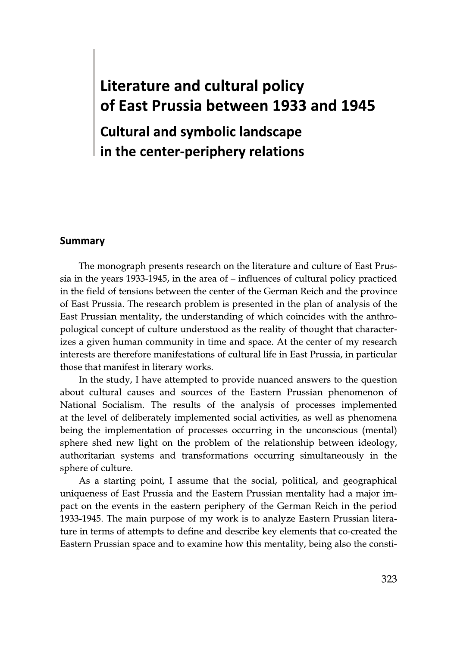## **Literature and cultural policy** of East Prussia between 1933 and 1945

**Cultural and symbolic landscape** in the center-periphery relations

## **Summary**

The monograph presents research on the literature and culture of East Prussia in the years 1933-1945, in the area of  $-$  influences of cultural policy practiced in the field of tensions between the center of the German Reich and the province of East Prussia. The research problem is presented in the plan of analysis of the East Prussian mentality, the understanding of which coincides with the anthropological concept of culture understood as the reality of thought that characterizes a given human community in time and space. At the center of my research interests are therefore manifestations of cultural life in East Prussia, in particular those that manifest in literary works.

In the study, I have attempted to provide nuanced answers to the question about cultural causes and sources of the Eastern Prussian phenomenon of National Socialism. The results of the analysis of processes implemented at the level of deliberately implemented social activities, as well as phenomena being the implementation of processes occurring in the unconscious (mental) sphere shed new light on the problem of the relationship between ideology, authoritarian systems and transformations occurring simultaneously in the sphere of culture.

As a starting point, I assume that the social, political, and geographical uniqueness of East Prussia and the Eastern Prussian mentality had a major impact on the events in the eastern periphery of the German Reich in the period 1933-1945. The main purpose of my work is to analyze Eastern Prussian literature in terms of attempts to define and describe key elements that co-created the Eastern Prussian space and to examine how this mentality, being also the consti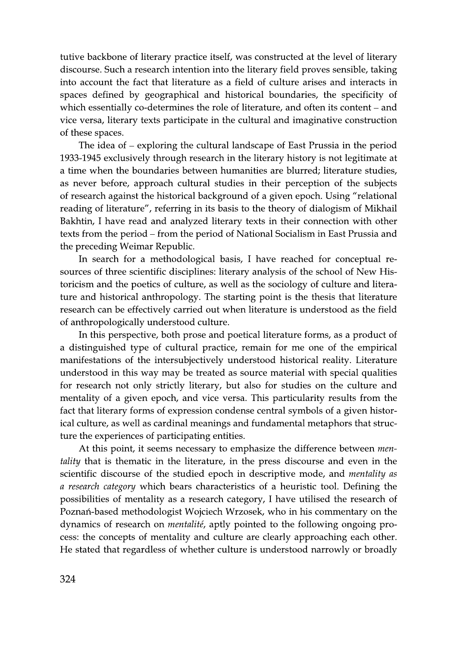tutive backbone of literary practice itself, was constructed at the level of literary discourse. Such a research intention into the literary field proves sensible, taking into account the fact that literature as a field of culture arises and interacts in spaces defined by geographical and historical boundaries, the specificity of which essentially co-determines the role of literature, and often its content - and vice versa, literary texts participate in the cultural and imaginative construction of these spaces.

The idea of – exploring the cultural landscape of East Prussia in the period 1933-1945 exclusively through research in the literary history is not legitimate at a time when the boundaries between humanities are blurred; literature studies, as never before, approach cultural studies in their perception of the subjects of research against the historical background of a given epoch. Using "relational reading of literature", referring in its basis to the theory of dialogism of Mikhail Bakhtin, I have read and analyzed literary texts in their connection with other texts from the period – from the period of National Socialism in East Prussia and the preceding Weimar Republic.

In search for a methodological basis, I have reached for conceptual resources of three scientific disciplines: literary analysis of the school of New Historicism and the poetics of culture, as well as the sociology of culture and literature and historical anthropology. The starting point is the thesis that literature research can be effectively carried out when literature is understood as the field of anthropologically understood culture.

In this perspective, both prose and poetical literature forms, as a product of a distinguished type of cultural practice, remain for me one of the empirical manifestations of the intersubjectively understood historical reality. Literature understood in this way may be treated as source material with special qualities for research not only strictly literary, but also for studies on the culture and mentality of a given epoch, and vice versa. This particularity results from the fact that literary forms of expression condense central symbols of a given historical culture, as well as cardinal meanings and fundamental metaphors that structure the experiences of participating entities.

At this point, it seems necessary to emphasize the difference between *men*tality that is thematic in the literature, in the press discourse and even in the scientific discourse of the studied epoch in descriptive mode, and *mentality as* a research category which bears characteristics of a heuristic tool. Defining the possibilities of mentality as a research category, I have utilised the research of Poznań-based methodologist Wojciech Wrzosek, who in his commentary on the dynamics of research on *mentalité*, aptly pointed to the following ongoing process: the concepts of mentality and culture are clearly approaching each other. He stated that regardless of whether culture is understood narrowly or broadly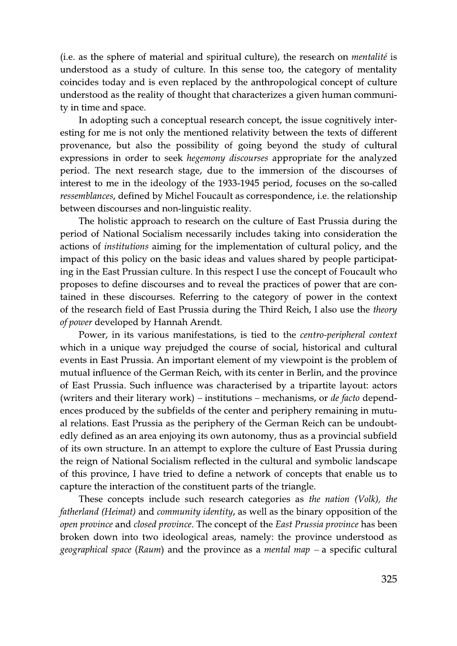(i.e. as the sphere of material and spiritual culture), the research on *mentalité* is understood as a study of culture. In this sense too, the category of mentality coincides today and is even replaced by the anthropological concept of culture understood as the reality of thought that characterizes a given human community in time and space.

In adopting such a conceptual research concept, the issue cognitively interesting for me is not only the mentioned relativity between the texts of different provenance, but also the possibility of going beyond the study of cultural expressions in order to seek *hegemony discourses* appropriate for the analyzed period. The next research stage, due to the immersion of the discourses of interest to me in the ideology of the 1933-1945 period, focuses on the so-called *ressemblances*, defined by Michel Foucault as correspondence, *i.e.* the relationship between discourses and non-linguistic reality.

The holistic approach to research on the culture of East Prussia during the period of National Socialism necessarily includes taking into consideration the actions of *institutions* aiming for the implementation of cultural policy, and the impact of this policy on the basic ideas and values shared by people participating in the East Prussian culture. In this respect I use the concept of Foucault who proposes to define discourses and to reveal the practices of power that are contained in these discourses. Referring to the category of power in the context of the research field of East Prussia during the Third Reich, I also use the *theory of power* developed by Hannah Arendt.

Power, in its various manifestations, is tied to the *centro-peripheral context* which in a unique way prejudged the course of social, historical and cultural events in East Prussia. An important element of my viewpoint is the problem of mutual influence of the German Reich, with its center in Berlin, and the province of East Prussia. Such influence was characterised by a tripartite layout: actors (writers and their literary work) – institutions – mechanisms, or *de facto* dependences produced by the subfields of the center and periphery remaining in mutual relations. East Prussia as the periphery of the German Reich can be undoubtedly defined as an area enjoying its own autonomy, thus as a provincial subfield of its own structure. In an attempt to explore the culture of East Prussia during the reign of National Socialism reflected in the cultural and symbolic landscape of this province, I have tried to define a network of concepts that enable us to capture the interaction of the constituent parts of the triangle.

These concepts include such research categories as the nation (Volk), the *fatherland (Heimat)* and *community identity,* as well as the binary opposition of the *open province* and *closed province*. The concept of the *East Prussia province* has been broken down into two ideological areas, namely: the province understood as geographical space (Raum) and the province as a mental map  $-$  a specific cultural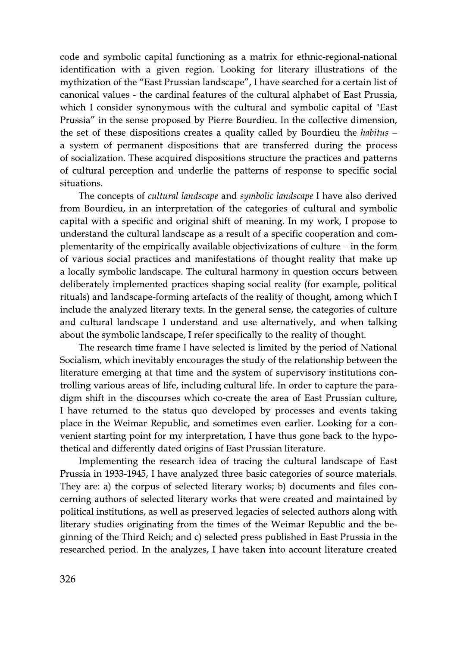code and symbolic capital functioning as a matrix for ethnic-regional-national identification with a given region. Looking for literary illustrations of the mythization of the "East Prussian landscape", I have searched for a certain list of canonical values - the cardinal features of the cultural alphabet of East Prussia, which I consider synonymous with the cultural and symbolic capital of "East" Prussia" in the sense proposed by Pierre Bourdieu. In the collective dimension, the set of these dispositions creates a quality called by Bourdieu the habitus  $$ a system of permanent dispositions that are transferred during the process of socialization. These acquired dispositions structure the practices and patterns of cultural perception and underlie the patterns of response to specific social situations.

The concepts of *cultural landscape* and *symbolic landscape* I have also derived from Bourdieu, in an interpretation of the categories of cultural and symbolic capital with a specific and original shift of meaning. In my work, I propose to understand the cultural landscape as a result of a specific cooperation and complementarity of the empirically available objectivizations of culture – in the form of various social practices and manifestations of thought reality that make up a locally symbolic landscape. The cultural harmony in question occurs between deliberately implemented practices shaping social reality (for example, political rituals) and landscape-forming artefacts of the reality of thought, among which I include the analyzed literary texts. In the general sense, the categories of culture and cultural landscape I understand and use alternatively, and when talking about the symbolic landscape, I refer specifically to the reality of thought.

The research time frame I have selected is limited by the period of National Socialism, which inevitably encourages the study of the relationship between the literature emerging at that time and the system of supervisory institutions controlling various areas of life, including cultural life. In order to capture the paradigm shift in the discourses which co-create the area of East Prussian culture, I have returned to the status quo developed by processes and events taking place in the Weimar Republic, and sometimes even earlier. Looking for a convenient starting point for my interpretation, I have thus gone back to the hypothetical and differently dated origins of East Prussian literature.

Implementing the research idea of tracing the cultural landscape of East Prussia in 1933-1945, I have analyzed three basic categories of source materials. They are: a) the corpus of selected literary works; b) documents and files concerning authors of selected literary works that were created and maintained by political institutions, as well as preserved legacies of selected authors along with literary studies originating from the times of the Weimar Republic and the beginning of the Third Reich; and c) selected press published in East Prussia in the researched period. In the analyzes, I have taken into account literature created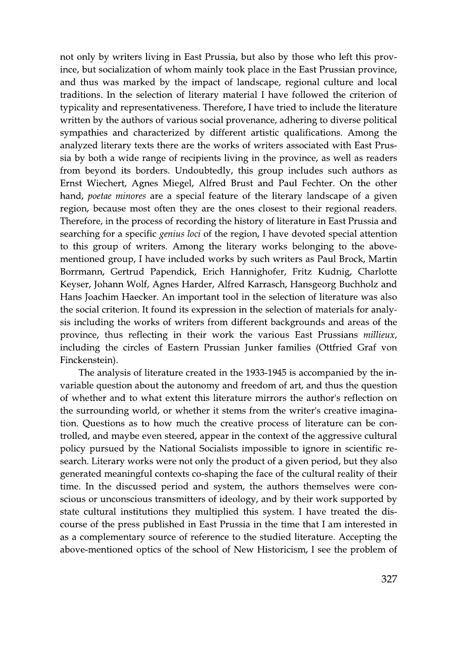not only by writers living in East Prussia, but also by those who left this province, but socialization of whom mainly took place in the East Prussian province, and thus was marked by the impact of landscape, regional culture and local traditions. In the selection of literary material I have followed the criterion of typicality and representativeness. Therefore, I have tried to include the literature written by the authors of various social provenance, adhering to diverse political sympathies and characterized by different artistic qualifications. Among the analyzed literary texts there are the works of writers associated with East Prussia by both a wide range of recipients living in the province, as well as readers from beyond its borders. Undoubtedly, this group includes such authors as Ernst Wiechert, Agnes Miegel, Alfred Brust and Paul Fechter. On the other hand, *poetae minores* are a special feature of the literary landscape of a given region, because most often they are the ones closest to their regional readers. Therefore, in the process of recording the history of literature in East Prussia and searching for a specific *genius loci* of the region, I have devoted special attention to this group of writers. Among the literary works belonging to the abovementioned group, I have included works by such writers as Paul Brock, Martin Borrmann, Gertrud Papendick, Erich Hannighofer, Fritz Kudnig, Charlotte Keyser, Johann Wolf, Agnes Harder, Alfred Karrasch, Hansgeorg Buchholz and Hans Joachim Haecker. An important tool in the selection of literature was also the social criterion. It found its expression in the selection of materials for analysis including the works of writers from different backgrounds and areas of the province, thus reflecting in their work the various East Prussians millieux, including the circles of Eastern Prussian Junker families (Ottfried Graf von Finckenstein).

The analysis of literature created in the 1933-1945 is accompanied by the invariable question about the autonomy and freedom of art, and thus the question of whether and to what extent this literature mirrors the author's reflection on the surrounding world, or whether it stems from the writer's creative imagination. Questions as to how much the creative process of literature can be controlled, and maybe even steered, appear in the context of the aggressive cultural policy pursued by the National Socialists impossible to ignore in scientific research. Literary works were not only the product of a given period, but they also generated meaningful contexts co-shaping the face of the cultural reality of their time. In the discussed period and system, the authors themselves were conscious or unconscious transmitters of ideology, and by their work supported by state cultural institutions they multiplied this system. I have treated the discourse of the press published in East Prussia in the time that I am interested in as a complementary source of reference to the studied literature. Accepting the above-mentioned optics of the school of New Historicism, I see the problem of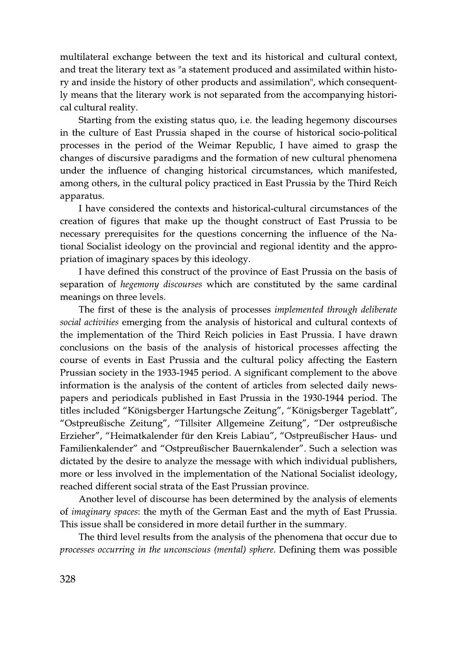multilateral exchange between the text and its historical and cultural context, and treat the literary text as "a statement produced and assimilated within history and inside the history of other products and assimilation", which consequently means that the literary work is not separated from the accompanying historical cultural reality.

Starting from the existing status quo, *i.e.* the leading hegemony discourses in the culture of East Prussia shaped in the course of historical socio-political processes in the period of the Weimar Republic, I have aimed to grasp the changes of discursive paradigms and the formation of new cultural phenomena under the influence of changing historical circumstances, which manifested, among others, in the cultural policy practiced in East Prussia by the Third Reich apparatus.

I have considered the contexts and historical-cultural circumstances of the creation of figures that make up the thought construct of East Prussia to be necessary prerequisites for the questions concerning the influence of the National Socialist ideology on the provincial and regional identity and the appropriation of imaginary spaces by this ideology.

I have defined this construct of the province of East Prussia on the basis of separation of *hegemony discourses* which are constituted by the same cardinal meanings on three levels.

The first of these is the analysis of processes *implemented through deliberate* social activities emerging from the analysis of historical and cultural contexts of the implementation of the Third Reich policies in East Prussia. I have drawn conclusions on the basis of the analysis of historical processes affecting the course of events in East Prussia and the cultural policy affecting the Eastern Prussian society in the 1933-1945 period. A significant complement to the above information is the analysis of the content of articles from selected daily newspapers and periodicals published in East Prussia in the 1930-1944 period. The titles included "Königsberger Hartungsche Zeitung", "Königsberger Tageblatt", "Ostpreußische Zeitung", "Tillsiter Allgemeine Zeitung", "Der ostpreußische Erzieher", "Heimatkalender für den Kreis Labiau", "Ostpreußischer Haus- und Familienkalender" and "Ostpreußischer Bauernkalender". Such a selection was dictated by the desire to analyze the message with which individual publishers, more or less involved in the implementation of the National Socialist ideology, reached different social strata of the East Prussian province.

Another level of discourse has been determined by the analysis of elements of *imaginary spaces*: the myth of the German East and the myth of East Prussia. This issue shall be considered in more detail further in the summary.

The third level results from the analysis of the phenomena that occur due to processes occurring in the unconscious (mental) sphere. Defining them was possible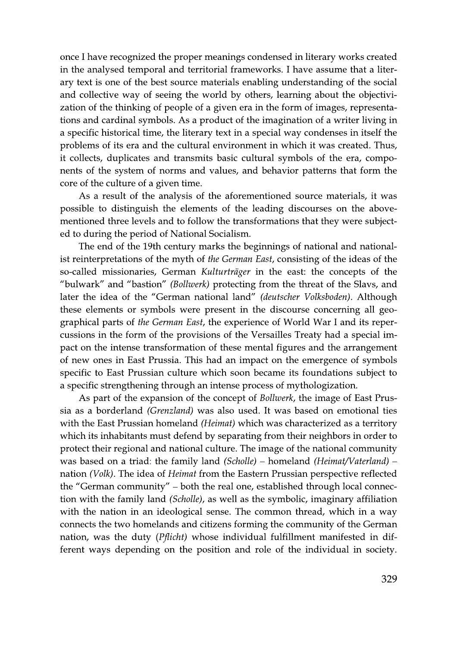once I have recognized the proper meanings condensed in literary works created in the analysed temporal and territorial frameworks. I have assume that a literary text is one of the best source materials enabling understanding of the social and collective way of seeing the world by others, learning about the objectivization of the thinking of people of a given era in the form of images, representations and cardinal symbols. As a product of the imagination of a writer living in a specific historical time, the literary text in a special way condenses in itself the problems of its era and the cultural environment in which it was created. Thus, it collects, duplicates and transmits basic cultural symbols of the era, components of the system of norms and values, and behavior patterns that form the core of the culture of a given time.

As a result of the analysis of the aforementioned source materials, it was possible to distinguish the elements of the leading discourses on the abovementioned three levels and to follow the transformations that they were subjected to during the period of National Socialism.

The end of the 19th century marks the beginnings of national and nationalist reinterpretations of the myth of the German East, consisting of the ideas of the so-called missionaries, German Kulturträger in the east: the concepts of the "bulwark" and "bastion" (Bollwerk) protecting from the threat of the Slavs, and later the idea of the "German national land" (deutscher Volksboden). Although these elements or symbols were present in the discourse concerning all geographical parts of the German East, the experience of World War I and its repercussions in the form of the provisions of the Versailles Treaty had a special impact on the intense transformation of these mental figures and the arrangement of new ones in East Prussia. This had an impact on the emergence of symbols specific to East Prussian culture which soon became its foundations subject to a specific strengthening through an intense process of mythologization.

As part of the expansion of the concept of *Bollwerk*, the image of East Prussia as a borderland (Grenzland) was also used. It was based on emotional ties with the East Prussian homeland (Heimat) which was characterized as a territory which its inhabitants must defend by separating from their neighbors in order to protect their regional and national culture. The image of the national community was based on a triad: the family land  $(Scholle)$  – homeland  $(Heimat/Vaterland)$  – nation (Volk). The idea of Heimat from the Eastern Prussian perspective reflected the "German community" – both the real one, established through local connection with the family land (Scholle), as well as the symbolic, imaginary affiliation with the nation in an ideological sense. The common thread, which in a way connects the two homelands and citizens forming the community of the German nation, was the duty (*Pflicht*) whose individual fulfillment manifested in different ways depending on the position and role of the individual in society.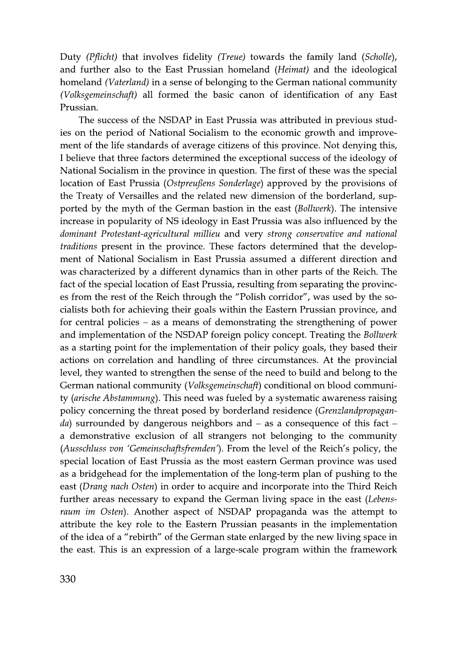Duty (*Pflicht*) that involves fidelity (*Treue*) towards the family land (*Scholle*), and further also to the East Prussian homeland (Heimat) and the ideological homeland *(Vaterland)* in a sense of belonging to the German national community (Volksgemeinschaft) all formed the basic canon of identification of any East Prussian.

The success of the NSDAP in East Prussia was attributed in previous studies on the period of National Socialism to the economic growth and improvement of the life standards of average citizens of this province. Not denying this, I believe that three factors determined the exceptional success of the ideology of National Socialism in the province in question. The first of these was the special location of East Prussia (Ostpreußens Sonderlage) approved by the provisions of the Treaty of Versailles and the related new dimension of the borderland, supported by the myth of the German bastion in the east *(Bollwerk)*. The intensive increase in popularity of NS ideology in East Prussia was also influenced by the dominant Protestant-agricultural millieu and very strong conservative and national traditions present in the province. These factors determined that the development of National Socialism in East Prussia assumed a different direction and was characterized by a different dynamics than in other parts of the Reich. The fact of the special location of East Prussia, resulting from separating the provinces from the rest of the Reich through the "Polish corridor", was used by the socialists both for achieving their goals within the Eastern Prussian province, and for central policies  $-$  as a means of demonstrating the strengthening of power and implementation of the NSDAP foreign policy concept. Treating the Bollwerk as a starting point for the implementation of their policy goals, they based their actions on correlation and handling of three circumstances. At the provincial level, they wanted to strengthen the sense of the need to build and belong to the German national community (*Volksgemeinschaft*) conditional on blood community (arische Abstammung). This need was fueled by a systematic awareness raising policy concerning the threat posed by borderland residence (Grenzlandpropagan*da*) surrounded by dangerous neighbors and  $-$  as a consequence of this fact  $$ a demonstrative exclusion of all strangers not belonging to the community (Ausschluss von 'Gemeinschaftsfremden'). From the level of the Reich's policy, the special location of East Prussia as the most eastern German province was used as a bridgehead for the implementation of the long-term plan of pushing to the east (Drang nach Osten) in order to acquire and incorporate into the Third Reich further areas necessary to expand the German living space in the east (Lebensraum im Osten). Another aspect of NSDAP propaganda was the attempt to attribute the key role to the Eastern Prussian peasants in the implementation of the idea of a "rebirth" of the German state enlarged by the new living space in the east. This is an expression of a large-scale program within the framework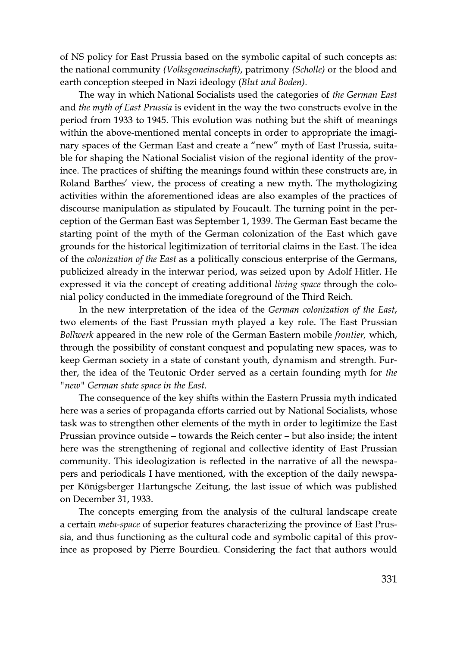of NS policy for East Prussia based on the symbolic capital of such concepts as: the national community (*Volksgemeinschaft*), patrimony (*Scholle*) or the blood and earth conception steeped in Nazi ideology (Blut und Boden).

The way in which National Socialists used the categories of the German East and the myth of East Prussia is evident in the way the two constructs evolve in the period from 1933 to 1945. This evolution was nothing but the shift of meanings within the above-mentioned mental concepts in order to appropriate the imaginary spaces of the German East and create a "new" myth of East Prussia, suitable for shaping the National Socialist vision of the regional identity of the province. The practices of shifting the meanings found within these constructs are, in Roland Barthes' view, the process of creating a new myth. The mythologizing activities within the aforementioned ideas are also examples of the practices of discourse manipulation as stipulated by Foucault. The turning point in the perception of the German East was September 1, 1939. The German East became the starting point of the myth of the German colonization of the East which gave grounds for the historical legitimization of territorial claims in the East. The idea of the *colonization of the East* as a politically conscious enterprise of the Germans, publicized already in the interwar period, was seized upon by Adolf Hitler. He expressed it via the concept of creating additional *living space* through the colonial policy conducted in the immediate foreground of the Third Reich.

In the new interpretation of the idea of the *German colonization of the East*, two elements of the East Prussian myth played a key role. The East Prussian Bollwerk appeared in the new role of the German Eastern mobile *frontier*, which, through the possibility of constant conquest and populating new spaces, was to keep German society in a state of constant youth, dynamism and strength. Further, the idea of the Teutonic Order served as a certain founding myth for the "new" German state space in the East.

The consequence of the key shifts within the Eastern Prussia myth indicated here was a series of propaganda efforts carried out by National Socialists, whose task was to strengthen other elements of the myth in order to legitimize the East Prussian province outside – towards the Reich center – but also inside; the intent here was the strengthening of regional and collective identity of East Prussian community. This ideologization is reflected in the narrative of all the newspapers and periodicals I have mentioned, with the exception of the daily newspaper Königsberger Hartungsche Zeitung, the last issue of which was published on December 31, 1933.

The concepts emerging from the analysis of the cultural landscape create a certain *meta-space* of superior features characterizing the province of East Prussia, and thus functioning as the cultural code and symbolic capital of this province as proposed by Pierre Bourdieu. Considering the fact that authors would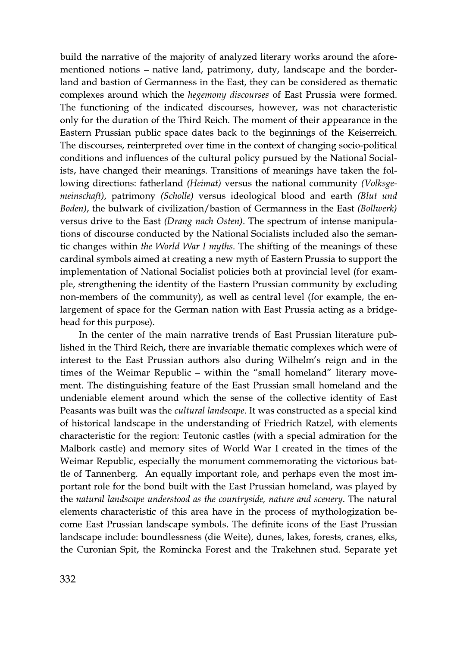build the narrative of the majority of analyzed literary works around the aforementioned notions – native land, patrimony, duty, landscape and the borderland and bastion of Germanness in the East, they can be considered as thematic complexes around which the *hegemony discourses* of East Prussia were formed. The functioning of the indicated discourses, however, was not characteristic only for the duration of the Third Reich. The moment of their appearance in the Eastern Prussian public space dates back to the beginnings of the Keiserreich. The discourses, reinterpreted over time in the context of changing socio-political conditions and influences of the cultural policy pursued by the National Socialists, have changed their meanings. Transitions of meanings have taken the following directions: fatherland (Heimat) versus the national community (Volksge*meinschaft*), patrimony (*Scholle*) versus ideological blood and earth (*Blut und* Boden), the bulwark of civilization/bastion of Germanness in the East (Bollwerk) versus drive to the East (Drang nach Osten). The spectrum of intense manipulations of discourse conducted by the National Socialists included also the semantic changes within the World War I myths. The shifting of the meanings of these cardinal symbols aimed at creating a new myth of Eastern Prussia to support the implementation of National Socialist policies both at provincial level (for example, strengthening the identity of the Eastern Prussian community by excluding non-members of the community), as well as central level (for example, the enlargement of space for the German nation with East Prussia acting as a bridgehead for this purpose).

In the center of the main narrative trends of East Prussian literature published in the Third Reich, there are invariable thematic complexes which were of interest to the East Prussian authors also during Wilhelm's reign and in the times of the Weimar Republic – within the "small homeland" literary movement. The distinguishing feature of the East Prussian small homeland and the undeniable element around which the sense of the collective identity of East Peasants was built was the *cultural landscape*. It was constructed as a special kind of historical landscape in the understanding of Friedrich Ratzel, with elements characteristic for the region: Teutonic castles (with a special admiration for the Malbork castle) and memory sites of World War I created in the times of the Weimar Republic, especially the monument commemorating the victorious battle of Tannenberg. An equally important role, and perhaps even the most important role for the bond built with the East Prussian homeland, was played by the natural landscape understood as the countryside, nature and scenery. The natural elements characteristic of this area have in the process of mythologization become East Prussian landscape symbols. The definite icons of the East Prussian landscape include: boundlessness (die Weite), dunes, lakes, forests, cranes, elks, the Curonian Spit, the Romincka Forest and the Trakehnen stud. Separate yet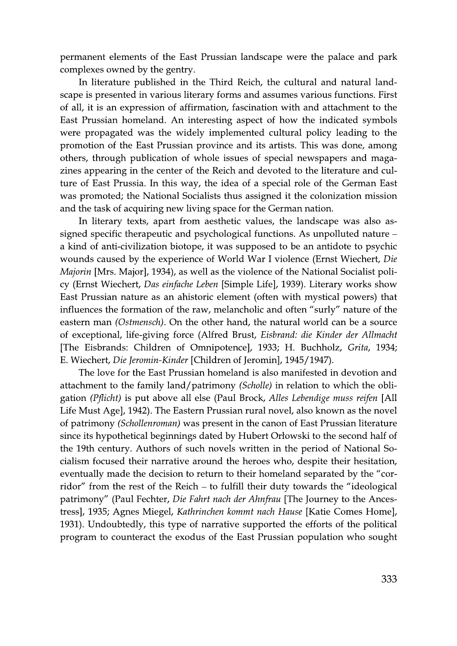permanent elements of the East Prussian landscape were the palace and park complexes owned by the gentry.

In literature published in the Third Reich, the cultural and natural landscape is presented in various literary forms and assumes various functions. First of all, it is an expression of affirmation, fascination with and attachment to the East Prussian homeland. An interesting aspect of how the indicated symbols were propagated was the widely implemented cultural policy leading to the promotion of the East Prussian province and its artists. This was done, among others, through publication of whole issues of special newspapers and magazines appearing in the center of the Reich and devoted to the literature and culture of East Prussia. In this way, the idea of a special role of the German East was promoted; the National Socialists thus assigned it the colonization mission and the task of acquiring new living space for the German nation.

In literary texts, apart from aesthetic values, the landscape was also assigned specific therapeutic and psychological functions. As unpolluted nature – a kind of anti-civilization biotope, it was supposed to be an antidote to psychic wounds caused by the experience of World War I violence (Ernst Wiechert, Die *Majorin* [Mrs. Major], 1934), as well as the violence of the National Socialist policy (Ernst Wiechert, Das einfache Leben [Simple Life], 1939). Literary works show East Prussian nature as an ahistoric element (often with mystical powers) that influences the formation of the raw, melancholic and often "surly" nature of the eastern man (Ostmensch). On the other hand, the natural world can be a source of exceptional, life-giving force (Alfred Brust, *Eisbrand: die Kinder der Allmacht* [The Eisbrands: Children of Omnipotence], 1933; H. Buchholz, Grita, 1934; E. Wiechert, Die Jeromin-Kinder [Children of Jeromin], 1945/1947).

The love for the East Prussian homeland is also manifested in devotion and attachment to the family land/patrimony (Scholle) in relation to which the obligation (Pflicht) is put above all else (Paul Brock, Alles Lebendige muss reifen [All Life Must Age], 1942). The Eastern Prussian rural novel, also known as the novel of patrimony *(Schollenroman)* was present in the canon of East Prussian literature since its hypothetical beginnings dated by Hubert Orlowski to the second half of the 19th century. Authors of such novels written in the period of National Socialism focused their narrative around the heroes who, despite their hesitation, eventually made the decision to return to their homeland separated by the "corridor" from the rest of the Reich – to fulfill their duty towards the "ideological patrimony" (Paul Fechter, Die Fahrt nach der Ahnfrau [The Journey to the Ancestress], 1935; Agnes Miegel, Kathrinchen kommt nach Hause [Katie Comes Home], 1931). Undoubtedly, this type of narrative supported the efforts of the political program to counteract the exodus of the East Prussian population who sought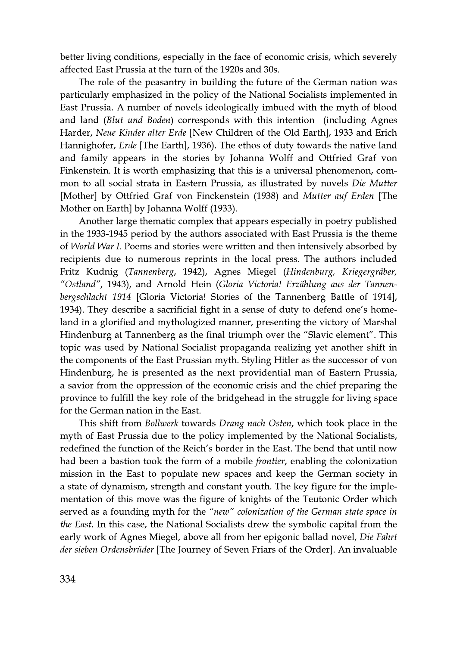better living conditions, especially in the face of economic crisis, which severely affected East Prussia at the turn of the 1920s and 30s.

The role of the peasantry in building the future of the German nation was particularly emphasized in the policy of the National Socialists implemented in East Prussia. A number of novels ideologically imbued with the myth of blood and land (*Blut und Boden*) corresponds with this intention (including Agnes Harder, Neue Kinder alter Erde [New Children of the Old Earth], 1933 and Erich Hannighofer, *Erde* [The Earth], 1936). The ethos of duty towards the native land and family appears in the stories by Johanna Wolff and Ottfried Graf von Finkenstein. It is worth emphasizing that this is a universal phenomenon, common to all social strata in Eastern Prussia, as illustrated by novels Die Mutter [Mother] by Ottfried Graf von Finckenstein (1938) and *Mutter auf Erden* [The Mother on Earth by Johanna Wolff (1933).

Another large thematic complex that appears especially in poetry published in the 1933-1945 period by the authors associated with East Prussia is the theme of World War I. Poems and stories were written and then intensively absorbed by recipients due to numerous reprints in the local press. The authors included Fritz Kudnig (Tannenberg, 1942), Agnes Miegel (Hindenburg, Kriegergräber, "Ostland", 1943), and Arnold Hein (Gloria Victoria! Erzählung aus der Tannenbergschlacht 1914 [Gloria Victoria! Stories of the Tannenberg Battle of 1914], 1934). They describe a sacrificial fight in a sense of duty to defend one's homeland in a glorified and mythologized manner, presenting the victory of Marshal Hindenburg at Tannenberg as the final triumph over the "Slavic element". This topic was used by National Socialist propaganda realizing yet another shift in the components of the East Prussian myth. Styling Hitler as the successor of von Hindenburg, he is presented as the next providential man of Eastern Prussia, a savior from the oppression of the economic crisis and the chief preparing the province to fulfill the key role of the bridgehead in the struggle for living space for the German nation in the East.

This shift from Bollwerk towards Drang nach Osten, which took place in the myth of East Prussia due to the policy implemented by the National Socialists, redefined the function of the Reich's border in the East. The bend that until now had been a bastion took the form of a mobile *frontier*, enabling the colonization mission in the East to populate new spaces and keep the German society in a state of dynamism, strength and constant youth. The key figure for the implementation of this move was the figure of knights of the Teutonic Order which served as a founding myth for the "new" colonization of the German state space in *the East.* In this case, the National Socialists drew the symbolic capital from the early work of Agnes Miegel, above all from her epigonic ballad novel, Die Fahrt der sieben Ordensbrüder [The Journey of Seven Friars of the Order]. An invaluable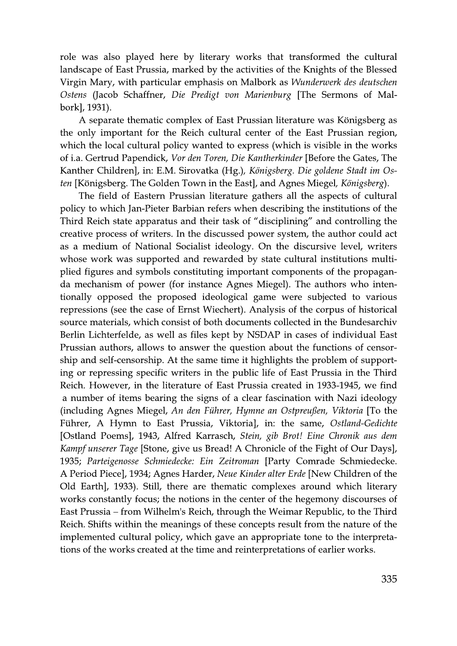role was also played here by literary works that transformed the cultural landscape of East Prussia, marked by the activities of the Knights of the Blessed Virgin Mary, with particular emphasis on Malbork as *Wunderwerk des deutschen* Ostens (Jacob Schaffner, Die Predigt von Marienburg [The Sermons of Malbork], 1931).

A separate thematic complex of East Prussian literature was Königsberg as the only important for the Reich cultural center of the East Prussian region, which the local cultural policy wanted to express (which is visible in the works of i.a. Gertrud Papendick, Vor den Toren, Die Kantherkinder [Before the Gates, The Kanther Children], in: E.M. Sirovatka (Hg.), Königsberg. Die goldene Stadt im Osten [Königsberg. The Golden Town in the East], and Agnes Miegel, Königsberg).

The field of Eastern Prussian literature gathers all the aspects of cultural policy to which Jan-Pieter Barbian refers when describing the institutions of the Third Reich state apparatus and their task of "disciplining" and controlling the creative process of writers. In the discussed power system, the author could act as a medium of National Socialist ideology. On the discursive level, writers whose work was supported and rewarded by state cultural institutions multiplied figures and symbols constituting important components of the propaganda mechanism of power (for instance Agnes Miegel). The authors who intentionally opposed the proposed ideological game were subjected to various repressions (see the case of Ernst Wiechert). Analysis of the corpus of historical source materials, which consist of both documents collected in the Bundesarchiv Berlin Lichterfelde, as well as files kept by NSDAP in cases of individual East Prussian authors, allows to answer the question about the functions of censorship and self-censorship. At the same time it highlights the problem of supporting or repressing specific writers in the public life of East Prussia in the Third Reich. However, in the literature of East Prussia created in 1933-1945, we find a number of items bearing the signs of a clear fascination with Nazi ideology (including Agnes Miegel, An den Führer, Hymne an Ostpreußen, Viktoria [To the Führer, A Hymn to East Prussia, Viktoria], in: the same, Ostland-Gedichte [Ostland Poems], 1943, Alfred Karrasch, Stein, gib Brot! Eine Chronik aus dem *Kampf unserer Tage* [Stone, give us Bread! A Chronicle of the Fight of Our Days], 1935; Parteigenosse Schmiedecke: Ein Zeitroman [Party Comrade Schmiedecke. A Period Piece], 1934; Agnes Harder, Neue Kinder alter Erde [New Children of the Old Earth], 1933). Still, there are thematic complexes around which literary works constantly focus; the notions in the center of the hegemony discourses of East Prussia – from Wilhelm's Reich, through the Weimar Republic, to the Third Reich. Shifts within the meanings of these concepts result from the nature of the implemented cultural policy, which gave an appropriate tone to the interpretations of the works created at the time and reinterpretations of earlier works.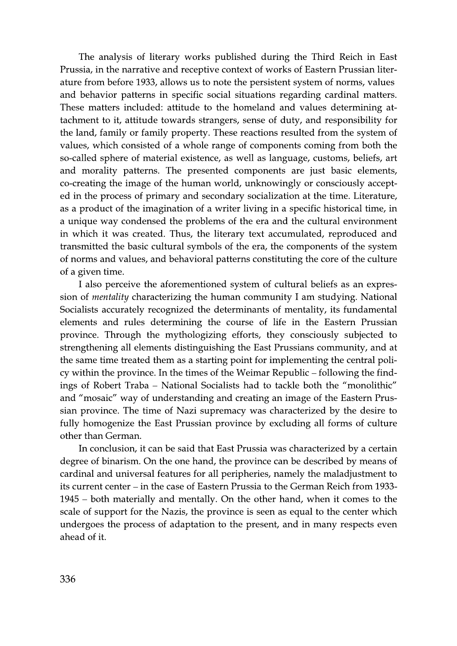The analysis of literary works published during the Third Reich in East Prussia, in the narrative and receptive context of works of Eastern Prussian literature from before 1933, allows us to note the persistent system of norms, values and behavior patterns in specific social situations regarding cardinal matters. These matters included: attitude to the homeland and values determining attachment to it, attitude towards strangers, sense of duty, and responsibility for the land, family or family property. These reactions resulted from the system of values, which consisted of a whole range of components coming from both the so-called sphere of material existence, as well as language, customs, beliefs, art and morality patterns. The presented components are just basic elements, co-creating the image of the human world, unknowingly or consciously accepted in the process of primary and secondary socialization at the time. Literature, as a product of the imagination of a writer living in a specific historical time, in a unique way condensed the problems of the era and the cultural environment in which it was created. Thus, the literary text accumulated, reproduced and transmitted the basic cultural symbols of the era, the components of the system of norms and values, and behavioral patterns constituting the core of the culture of a given time.

I also perceive the aforementioned system of cultural beliefs as an expression of *mentality* characterizing the human community I am studying. National Socialists accurately recognized the determinants of mentality, its fundamental elements and rules determining the course of life in the Eastern Prussian province. Through the mythologizing efforts, they consciously subjected to strengthening all elements distinguishing the East Prussians community, and at the same time treated them as a starting point for implementing the central policy within the province. In the times of the Weimar Republic – following the findings of Robert Traba – National Socialists had to tackle both the "monolithic" and "mosaic" way of understanding and creating an image of the Eastern Prussian province. The time of Nazi supremacy was characterized by the desire to fully homogenize the East Prussian province by excluding all forms of culture other than German.

In conclusion, it can be said that East Prussia was characterized by a certain degree of binarism. On the one hand, the province can be described by means of cardinal and universal features for all peripheries, namely the maladjustment to its current center – in the case of Eastern Prussia to the German Reich from 1933-1945 – both materially and mentally. On the other hand, when it comes to the scale of support for the Nazis, the province is seen as equal to the center which undergoes the process of adaptation to the present, and in many respects even ahead of it.